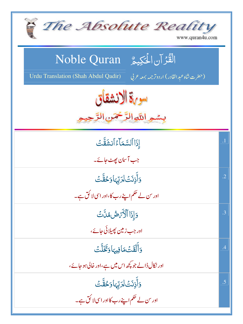| The Absolute Reality<br>www.quran4u.com                                                   |                 |
|-------------------------------------------------------------------------------------------|-----------------|
| الْقُرْآنِ الْحَكِيمُ Noble Quran                                                         |                 |
| Urdu Translation (Shah Abdul Qadir)<br>(حضرت شاه عبد القادر) اردوتر <i>جمه بمعه ع</i> ربي |                 |
| سوية الانشقاق                                                                             |                 |
| بسمو اللهالزَّخْمَنِ الرَّحِ                                                              |                 |
| إذَا ٱلسَّمَاءُ ٱنشَقَّتَ                                                                 | $\overline{1}$  |
| جب آسان پھٹ جائے۔                                                                         |                 |
| <u>وَأَذِنَتْ لِرَبِّهَا وَحُقَّتْ</u>                                                    | $\overline{.2}$ |
| اور س لے حکم اپنے رب کا،اور اسی لا کُق ہے۔                                                |                 |
| <u>وَإِذَا ٱلْأَ</u> رَضُ مُنَّتَ                                                         | .3              |
| اور جب زمین پھیلائی جائے،                                                                 |                 |
| وَأَلْقَتْ مَافِيهَا وَتَخَلَّتْ                                                          | .4              |
| اور نکال ڈالے جو کچھ اس میں ہے،اور خالی ہو جائے،                                          |                 |
| <u>وَأَذِنَتْ لِرَبِّهَا وَحُقَّتْ</u>                                                    | .5              |
| اور <sup>س</sup> لے حکم اپنے رب کااور اسی لا کُق ہے۔                                      |                 |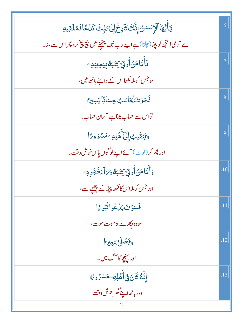| <b>يَأَيُّهَا ٱلْإِنسَنُ إِنَّكَ كَادِحٌ إِلَىٰ رَبِّكَ كَدُكَافَمُلَقِيهِ</b>            | .6              |
|-------------------------------------------------------------------------------------------|-----------------|
| اے آدمی! تجھ کو بچا(چلنا)ہے اپنے رب تک پہنچنے میں بچ بچ کر، پھر اس سے ملنا۔               |                 |
| ڣؘٲٛؖڡۜۧٲڡ <i>ڽ۫</i> ٲ۠۠ۅ <u>ڎۣ</u> ۦٟٙػڹ <i>ٙػ؋</i> ۪ۑ <sub>ٙػ</sub> ۅؠڹۣڡؚ <sup>ٟ</sup> | $\cdot^7$       |
| سو جس کو ملالکھااس کے داننے ہاتھ میں،                                                     |                 |
| فَسَوْتَ يُحَاسَبُ حِسَابًا يَسِبِرًا                                                     | $\overline{.8}$ |
| تواس سے حساب لیناہے آسان حساب۔                                                            |                 |
| <u>وَيَنقَلِبُ</u> إِلَىٰٓأَهُلِهِۦۢمَسۡرُوتًا                                            | .9              |
| اور پھر کر ( <sup>ل</sup> وٹ) آئے اپنےلو گوں پاس خوش وقت۔                                 |                 |
| <u>و</u> َأَمَّاهَنُأُونِّ كِتَبَهُوَ َادَظَهُرِهِ ۖ                                      | .10             |
| اور جس کو ملااس کالکھابپیٹھ کے پیچھے سے،                                                  |                 |
| فَسَوْفَ يَدْعُواْتُّبُورَّا                                                              | .11             |
| سووہ پکارے گاموت موت،                                                                     |                 |
| وَيَصَٰلَىٰسَعِيرَا                                                                       | .12             |
| اور <u>پہن</u> چے گا آگ میں۔                                                              |                 |
| ٳؚڹَّهُ كَانَ فِىٓأَهۡلِهِۦڡٙۺۯ۠ۅ؆ٲ                                                       | .13             |
| وەر ہاتھااپنے گھرخوش <mark>وقت ،</mark>                                                   |                 |
|                                                                                           |                 |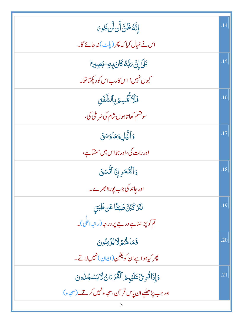| ٳ۪ڹَّهُڟؘڹَّ أَن لَّن ڲُوىَ                          | .14 |
|------------------------------------------------------|-----|
| اس نے خیال کیا کہ پھر (پلٹ) نہ جائے گا۔              |     |
| <b>بَلَ إِنَّ مَبَّهُ كَانَ بِهِ جَصِيرًا</b>        | .15 |
| کیوں نہیں! اس کارب اس کو دیکھاتھا۔                   |     |
| <u>ڣؘڷ</u> ۜٲٚڷؙۊڛؽڔؚؠٲڵۺ۠ۜڣؘٙؗۛؾ                    | .16 |
| سوقشم کھاتاہوں شام کی سُرخی کی،                      |     |
| وَٱلَّيۡلِ وَمَاوَسَقَ                               | .17 |
| اور رات کی،اور جواس میں سمٹماہے،                     |     |
| وَٱلۡقَمَرِ إِذَاٱتَّسَقَ                            | .18 |
| اور چاند کی جب پوراابھرے۔                            |     |
| لَتَرْكَبُنَّ طَبَقًا عَن طَبَقٍ                     | .19 |
| تم کو چڑھناہے در جے پر در حبہ (رتبہ اعلی)۔           |     |
| فَمَالَهُمْ لَايُؤْمِنُونَ                           | .20 |
| پھر کیاہواہےان کویقین(ایمان) نہیںلاتے۔               |     |
| وَإِذَاقُرِئَ عَلَيْهِمُ ٱلْقُرْءَانُ لَايَسْجُلُونَ | .21 |
| اور جب پڑھیُے ان پاس قر آن، سجدہ نہیں کرتے۔(سجدہ)    |     |